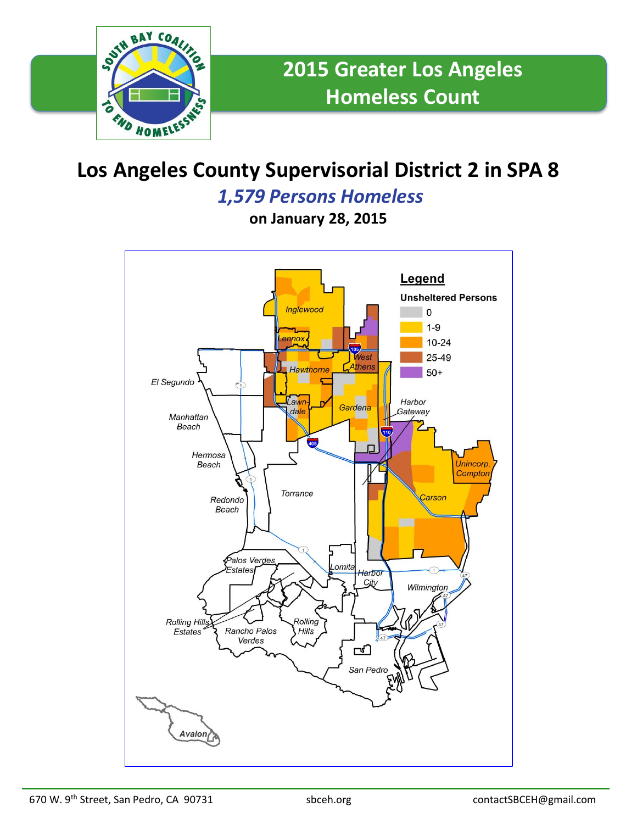

## **Los Angeles County Supervisorial District 2 in SPA 8**

## *1,579 Persons Homeless*

**on January 28, 2015**